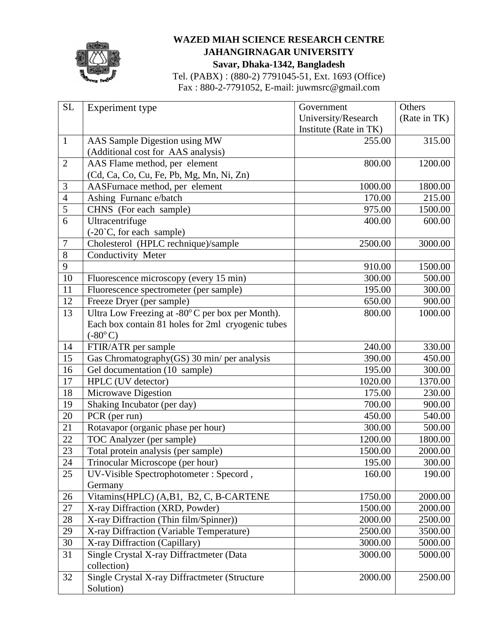

## **WAZED MIAH SCIENCE RESEARCH CENTRE JAHANGIRNAGAR UNIVERSITY Savar, Dhaka-1342, Bangladesh**

Tel. (PABX) : (880-2) 7791045-51, Ext. 1693 (Office) Fax : 880-2-7791052, E-mail: juwmsrc@gmail.com

| <b>SL</b>       | Experiment type                                   | Government             | Others       |
|-----------------|---------------------------------------------------|------------------------|--------------|
|                 |                                                   | University/Research    | (Rate in TK) |
|                 |                                                   | Institute (Rate in TK) |              |
| $\mathbf{1}$    | AAS Sample Digestion using MW                     | 255.00                 | 315.00       |
|                 | (Additional cost for AAS analysis)                |                        |              |
| $\overline{2}$  | AAS Flame method, per element                     | 800.00                 | 1200.00      |
|                 | (Cd, Ca, Co, Cu, Fe, Pb, Mg, Mn, Ni, Zn)          |                        |              |
| 3               | AASFurnace method, per element                    | 1000.00                | 1800.00      |
| $\overline{4}$  | Ashing Furnanc e/batch                            | 170.00                 | 215.00       |
| 5               | CHNS (For each sample)                            | 975.00                 | 1500.00      |
| 6               | Ultracentrifuge                                   | 400.00                 | 600.00       |
|                 | (-20°C, for each sample)                          |                        |              |
| 7               | Cholesterol (HPLC rechnique)/sample               | 2500.00                | 3000.00      |
| $8\,$           | Conductivity Meter                                |                        |              |
| 9               |                                                   | 910.00                 | 1500.00      |
| 10              | Fluorescence microscopy (every 15 min)            | 300.00                 | 500.00       |
| 11              | Fluorescence spectrometer (per sample)            | 195.00                 | 300.00       |
| 12              | Freeze Dryer (per sample)                         | 650.00                 | 900.00       |
| 13              | Ultra Low Freezing at -80°C per box per Month).   | 800.00                 | 1000.00      |
|                 | Each box contain 81 holes for 2ml cryogenic tubes |                        |              |
|                 | $(-80^{\circ}C)$                                  |                        |              |
| 14              | FTIR/ATR per sample                               | 240.00                 | 330.00       |
| 15              | Gas Chromatography(GS) 30 min/ per analysis       | 390.00                 | 450.00       |
| 16              | Gel documentation (10 sample)                     | 195.00                 | 300.00       |
| 17              | HPLC (UV detector)                                | 1020.00                | 1370.00      |
| 18              | <b>Microwave Digestion</b>                        | 175.00                 | 230.00       |
| 19              | Shaking Incubator (per day)                       | 700.00                 | 900.00       |
| 20              | PCR (per run)                                     | 450.00                 | 540.00       |
| 21              | Rotavapor (organic phase per hour)                | 300.00                 | 500.00       |
| 22              | <b>TOC</b> Analyzer (per sample)                  | 1200.00                | 1800.00      |
| $\overline{23}$ | Total protein analysis (per sample)               | 1500.00                | 2000.00      |
| $24\,$          | Trinocular Microscope (per hour)                  | 195.00                 | 300.00       |
| 25              | UV-Visible Spectrophotometer : Specord,           | 160.00                 | 190.00       |
|                 | Germany                                           |                        |              |
| 26              | Vitamins(HPLC) (A,B1, B2, C, B-CARTENE            | 1750.00                | 2000.00      |
| 27              | X-ray Diffraction (XRD, Powder)                   | 1500.00                | 2000.00      |
| 28              | X-ray Diffraction (Thin film/Spinner))            | 2000.00                | 2500.00      |
| 29              | X-ray Diffraction (Variable Temperature)          | 2500.00                | 3500.00      |
| 30              | X-ray Diffraction (Capillary)                     | 3000.00                | 5000.00      |
| 31              | Single Crystal X-ray Diffractmeter (Data          | 3000.00                | 5000.00      |
|                 | collection)                                       |                        |              |
| 32              | Single Crystal X-ray Diffractmeter (Structure     | 2000.00                | 2500.00      |
|                 | Solution)                                         |                        |              |